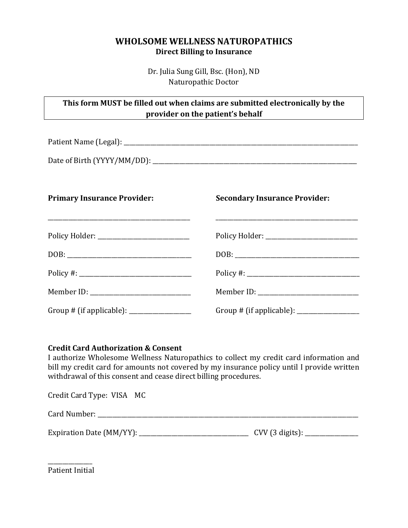# **WHOLSOME WELLNESS NATUROPATHICS Direct Billing to Insurance**

Dr. Julia Sung Gill, Bsc. (Hon), ND Naturopathic Doctor

| This form MUST be filled out when claims are submitted electronically by the |
|------------------------------------------------------------------------------|
| provider on the patient's behalf                                             |

Patient Name (Legal): \_\_\_\_\_\_\_\_\_\_\_\_\_\_\_\_\_\_\_\_\_\_\_\_\_\_\_\_\_\_\_\_\_\_\_\_\_\_\_\_\_\_\_\_\_\_\_\_\_\_\_\_\_\_\_\_\_\_\_\_\_\_\_\_\_\_\_\_\_\_\_\_\_\_\_\_\_\_\_

Date of Birth (YYYY/MM/DD): \_\_\_\_\_\_\_\_\_\_\_\_\_\_\_\_\_\_\_\_\_\_\_\_\_\_\_\_\_\_\_\_\_\_\_\_\_\_\_\_\_\_\_\_\_\_\_\_\_\_\_\_\_\_\_\_\_\_\_\_\_\_\_\_\_\_\_\_\_

# **Primary Insurance Provider:**

\_\_\_\_\_\_\_\_\_\_\_\_\_\_\_\_\_\_\_\_\_\_\_\_\_\_\_\_\_\_\_\_\_\_\_\_\_\_\_\_\_\_\_\_\_\_\_\_

## **Secondary Insurance Provider:**

\_\_\_\_\_\_\_\_\_\_\_\_\_\_\_\_\_\_\_\_\_\_\_\_\_\_\_\_\_\_\_\_\_\_\_\_\_\_\_\_\_\_\_\_\_\_\_\_

| Policy Holder: _____________________________ |                                        |
|----------------------------------------------|----------------------------------------|
|                                              | DOB:                                   |
|                                              |                                        |
| Member ID: ______________________________    |                                        |
| Group # (if applicable): __________________  | Group # (if applicable): $\frac{1}{2}$ |

# **Credit Card Authorization & Consent**

I authorize Wholesome Wellness Naturopathics to collect my credit card information and bill my credit card for amounts not covered by my insurance policy until I provide written withdrawal of this consent and cease direct billing procedures.

| Credit Card Type: VISA MC     |                                  |
|-------------------------------|----------------------------------|
| Card Number:                  |                                  |
| Expiration Date (MM/YY): ____ | CVV $(3 \text{ digits})$ : _____ |

\_\_\_\_\_\_\_\_\_\_\_\_\_\_\_ Patient Initial